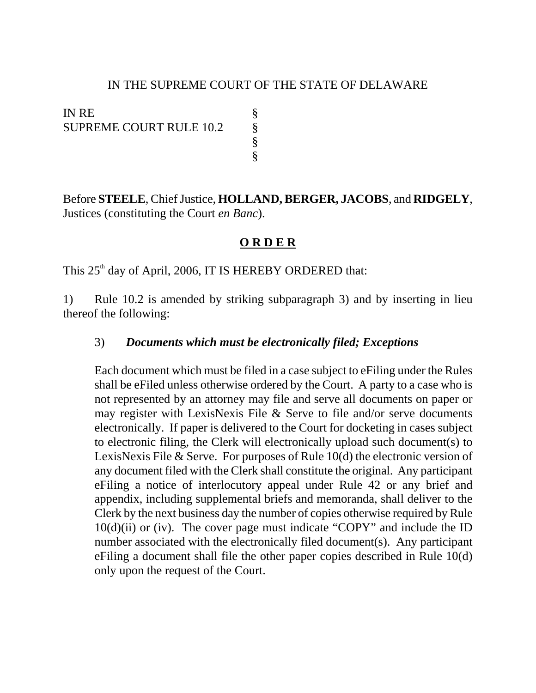## IN THE SUPREME COURT OF THE STATE OF DELAWARE

§

IN RE SUPREME COURT RULE 10.2 §

Before **STEELE**, Chief Justice, **HOLLAND, BERGER, JACOBS**, and **RIDGELY**, Justices (constituting the Court *en Banc*).

## **O R D E R**

This  $25<sup>th</sup>$  day of April, 2006, IT IS HEREBY ORDERED that:

1) Rule 10.2 is amended by striking subparagraph 3) and by inserting in lieu thereof the following:

## 3) *Documents which must be electronically filed; Exceptions*

Each document which must be filed in a case subject to eFiling under the Rules shall be eFiled unless otherwise ordered by the Court. A party to a case who is not represented by an attorney may file and serve all documents on paper or may register with LexisNexis File & Serve to file and/or serve documents electronically. If paper is delivered to the Court for docketing in cases subject to electronic filing, the Clerk will electronically upload such document(s) to LexisNexis File & Serve. For purposes of Rule 10(d) the electronic version of any document filed with the Clerk shall constitute the original. Any participant eFiling a notice of interlocutory appeal under Rule 42 or any brief and appendix, including supplemental briefs and memoranda, shall deliver to the Clerk by the next business day the number of copies otherwise required by Rule  $10(d)(ii)$  or (iv). The cover page must indicate "COPY" and include the ID number associated with the electronically filed document(s). Any participant eFiling a document shall file the other paper copies described in Rule 10(d) only upon the request of the Court.